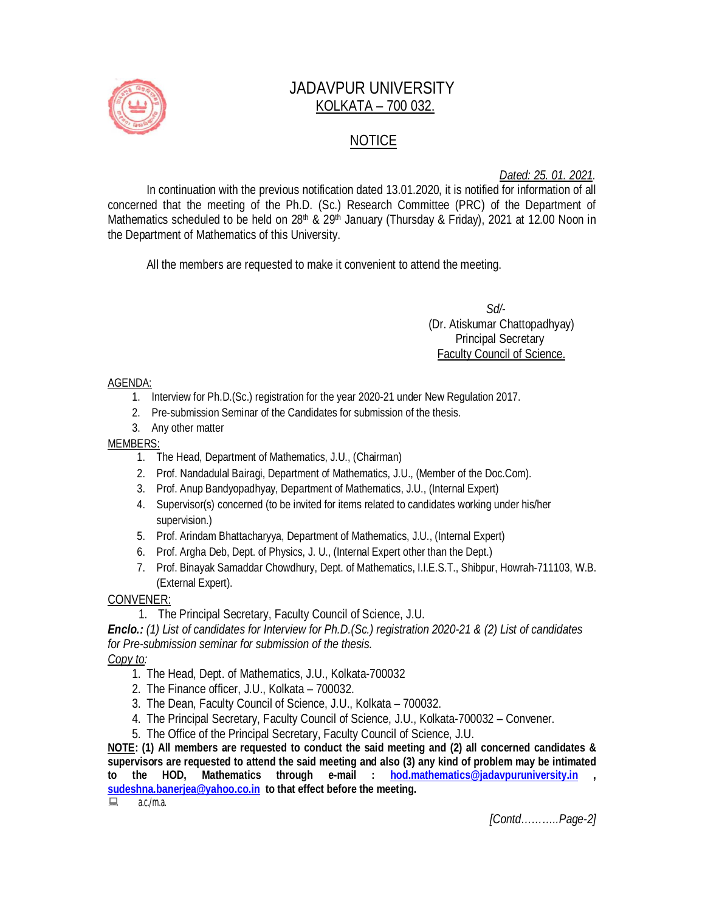

# JADAVPUR UNIVERSITY KOLKATA – 700 032.

# NOTICE

*Dated: 25. 01. 2021.*

In continuation with the previous notification dated 13.01.2020, it is notified for information of all concerned that the meeting of the Ph.D. (Sc.) Research Committee (PRC) of the Department of Mathematics scheduled to be held on 28<sup>th</sup> & 29<sup>th</sup> January (Thursday & Friday), 2021 at 12.00 Noon in the Department of Mathematics of this University.

All the members are requested to make it convenient to attend the meeting.

 *Sd/-*  (Dr. Atiskumar Chattopadhyay) Principal Secretary Faculty Council of Science.

#### AGENDA:

- 1. Interview for Ph.D.(Sc.) registration for the year 2020-21 under New Regulation 2017.
- 2. Pre-submission Seminar of the Candidates for submission of the thesis.
- 3. Any other matter

### MEMBERS:

- 1. The Head, Department of Mathematics, J.U., (Chairman)
- 2. Prof. Nandadulal Bairagi, Department of Mathematics, J.U., (Member of the Doc.Com).
- 3. Prof. Anup Bandyopadhyay, Department of Mathematics, J.U., (Internal Expert)
- 4. Supervisor(s) concerned (to be invited for items related to candidates working under his/her supervision.)
- 5. Prof. Arindam Bhattacharyya, Department of Mathematics, J.U., (Internal Expert)
- 6. Prof. Argha Deb, Dept. of Physics, J. U., (Internal Expert other than the Dept.)
- 7. Prof. Binayak Samaddar Chowdhury, Dept. of Mathematics, I.I.E.S.T., Shibpur, Howrah-711103, W.B. (External Expert).

## CONVENER:

1. The Principal Secretary, Faculty Council of Science, J.U.

*Enclo.: (1) List of candidates for Interview for Ph.D.(Sc.) registration 2020-21 & (2) List of candidates for Pre-submission seminar for submission of the thesis.*

## *Copy to:*

- 1. The Head, Dept. of Mathematics, J.U., Kolkata-700032
- 2. The Finance officer, J.U., Kolkata 700032.
- 3. The Dean, Faculty Council of Science, J.U., Kolkata 700032.
- 4. The Principal Secretary, Faculty Council of Science, J.U., Kolkata-700032 Convener.
- 5. The Office of the Principal Secretary, Faculty Council of Science, J.U.

**NOTE: (1) All members are requested to conduct the said meeting and (2) all concerned candidates & supervisors are requested to attend the said meeting and also (3) any kind of problem may be intimated to the HOD, Mathematics through e-mail : hod.mathematics@jadavpuruniversity.in ,** 

**sudeshna.banerjea@yahoo.co.in to that effect before the meeting.**

 $\Box$  a.c./m.a.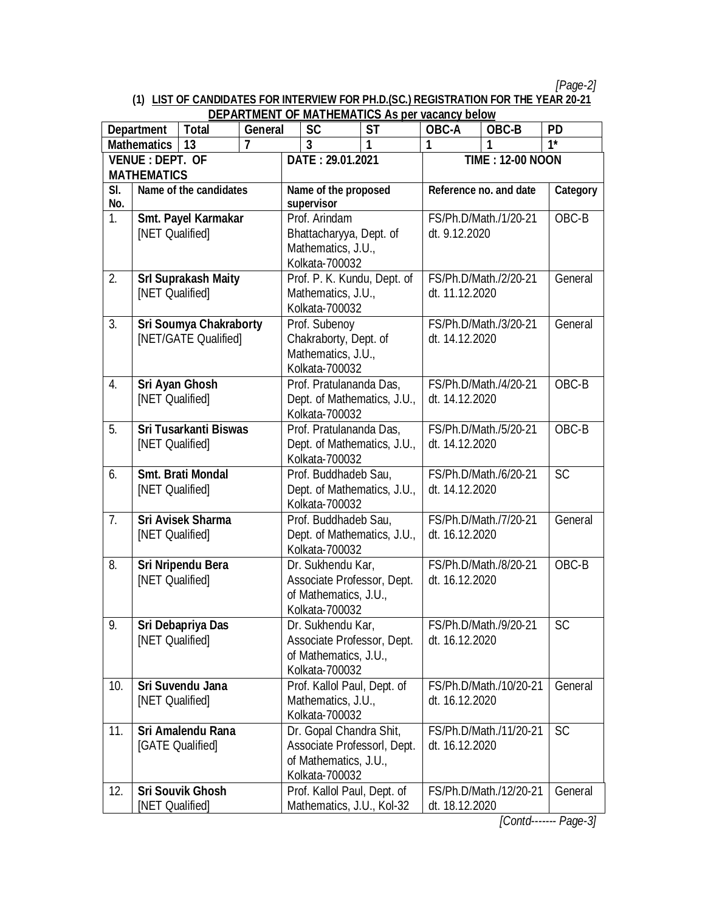*[Page-2]*

#### **(1) LIST OF CANDIDATES FOR INTERVIEW FOR PH.D.(SC.) REGISTRATION FOR THE YEAR 20-21 DEPARTMENT OF MATHEMATICS As per vacancy below**

|                               | <b>Department</b>                            | <b>Total</b>                 | וט ואושוואת הש<br>General   | <b>SC</b>                                                | <u><b>MATTLEMATTOS AS DCL VACATICY DCIOW</b></u><br><b>ST</b> | OBC-A                                    | OBC-B                  | <b>PD</b>                 |
|-------------------------------|----------------------------------------------|------------------------------|-----------------------------|----------------------------------------------------------|---------------------------------------------------------------|------------------------------------------|------------------------|---------------------------|
|                               | <b>Mathematics</b>                           | 13                           | $\overline{\mathbf{z}}$     | $\overline{3}$                                           | 1                                                             | 1                                        |                        | $\overline{\mathbf{1}^*}$ |
| <b>VENUE: DEPT. OF</b>        |                                              |                              | DATE: 29.01.2021            |                                                          | <b>TIME: 12-00 NOON</b>                                       |                                          |                        |                           |
| <b>MATHEMATICS</b>            |                                              |                              |                             |                                                          |                                                               |                                          |                        |                           |
| Name of the candidates<br>SI. |                                              | Name of the proposed         |                             | Reference no. and date                                   |                                                               | <b>Category</b>                          |                        |                           |
| No.                           |                                              |                              | supervisor                  |                                                          |                                                               |                                          |                        |                           |
| 1.                            |                                              | Smt. Payel Karmakar          |                             | Prof. Arindam                                            |                                                               | FS/Ph.D/Math./1/20-21                    |                        | OBC-B                     |
| [NET Qualified]               |                                              |                              |                             | Bhattacharyya, Dept. of                                  |                                                               | dt. 9.12.2020                            |                        |                           |
|                               |                                              |                              |                             | Mathematics, J.U.,                                       |                                                               |                                          |                        |                           |
|                               |                                              |                              |                             | Kolkata-700032                                           |                                                               |                                          |                        |                           |
| 2.                            |                                              | <b>Srl Suprakash Maity</b>   |                             | Prof. P. K. Kundu, Dept. of                              |                                                               | FS/Ph.D/Math./2/20-21                    |                        | General                   |
|                               | [NET Qualified]                              |                              |                             | Mathematics, J.U.,                                       |                                                               | dt. 11.12.2020                           |                        |                           |
|                               |                                              |                              |                             | Kolkata-700032                                           |                                                               |                                          |                        |                           |
| 3.                            |                                              | Sri Soumya Chakraborty       |                             | Prof. Subenoy                                            |                                                               |                                          | FS/Ph.D/Math./3/20-21  | General                   |
|                               |                                              | [NET/GATE Qualified]         |                             | Chakraborty, Dept. of                                    |                                                               | dt. 14.12.2020                           |                        |                           |
|                               |                                              |                              |                             | Mathematics, J.U.,                                       |                                                               |                                          |                        |                           |
|                               |                                              |                              |                             | Kolkata-700032                                           |                                                               |                                          |                        |                           |
| 4.                            | Sri Ayan Ghosh<br>[NET Qualified]            |                              |                             | Prof. Pratulananda Das,                                  |                                                               | FS/Ph.D/Math./4/20-21<br>dt. 14.12.2020  |                        | OBC-B                     |
|                               |                                              |                              |                             | Dept. of Mathematics, J.U.,<br>Kolkata-700032            |                                                               |                                          |                        |                           |
| 5.                            |                                              | <b>Sri Tusarkanti Biswas</b> |                             | Prof. Pratulananda Das,                                  |                                                               | FS/Ph.D/Math./5/20-21                    |                        | OBC-B                     |
|                               | [NET Qualified]                              |                              |                             | Dept. of Mathematics, J.U.,                              |                                                               | dt. 14.12.2020                           |                        |                           |
|                               |                                              |                              |                             | Kolkata-700032                                           |                                                               |                                          |                        |                           |
| 6.                            | <b>Smt. Brati Mondal</b>                     |                              |                             | Prof. Buddhadeb Sau,                                     |                                                               |                                          | FS/Ph.D/Math./6/20-21  | SC                        |
| [NET Qualified]               |                                              |                              | Dept. of Mathematics, J.U., |                                                          | dt. 14.12.2020                                                |                                          |                        |                           |
|                               |                                              |                              |                             | Kolkata-700032                                           |                                                               |                                          |                        |                           |
| 7.                            |                                              | <b>Sri Avisek Sharma</b>     |                             | Prof. Buddhadeb Sau,                                     |                                                               |                                          | FS/Ph.D/Math./7/20-21  | General                   |
|                               | [NET Qualified]                              |                              |                             | Dept. of Mathematics, J.U.,                              |                                                               | dt. 16.12.2020                           |                        |                           |
|                               |                                              |                              |                             | Kolkata-700032                                           |                                                               |                                          |                        |                           |
| 8.                            | Sri Nripendu Bera                            |                              |                             | Dr. Sukhendu Kar,                                        |                                                               |                                          | FS/Ph.D/Math./8/20-21  | OBC-B                     |
|                               | [NET Qualified]                              |                              |                             | Associate Professor, Dept.                               |                                                               | dt. 16.12.2020                           |                        |                           |
|                               |                                              |                              |                             | of Mathematics, J.U.,                                    |                                                               |                                          |                        |                           |
|                               |                                              |                              |                             | Kolkata-700032                                           |                                                               |                                          |                        |                           |
| 9.                            | Sri Debapriya Das                            |                              |                             | Dr. Sukhendu Kar,                                        |                                                               |                                          | FS/Ph.D/Math./9/20-21  | <b>SC</b>                 |
|                               | [NET Qualified]                              |                              |                             | Associate Professor, Dept.                               |                                                               | dt. 16.12.2020                           |                        |                           |
|                               |                                              |                              |                             | of Mathematics, J.U.,                                    |                                                               |                                          |                        |                           |
|                               |                                              |                              |                             | Kolkata-700032                                           |                                                               |                                          |                        |                           |
| 10.                           | Sri Suvendu Jana                             |                              |                             | Prof. Kallol Paul, Dept. of                              |                                                               |                                          | FS/Ph.D/Math./10/20-21 | General                   |
|                               | [NET Qualified]                              |                              |                             | Mathematics, J.U.,                                       |                                                               | dt. 16.12.2020                           |                        |                           |
|                               |                                              |                              | Kolkata-700032              |                                                          |                                                               |                                          |                        |                           |
| 11.                           | <b>Sri Amalendu Rana</b><br>[GATE Qualified] |                              |                             | Dr. Gopal Chandra Shit,                                  |                                                               |                                          | FS/Ph.D/Math./11/20-21 | <b>SC</b>                 |
|                               |                                              |                              |                             | Associate Professorl, Dept.<br>of Mathematics, J.U.,     |                                                               | dt. 16.12.2020                           |                        |                           |
|                               |                                              |                              |                             |                                                          |                                                               |                                          |                        |                           |
| 12.                           |                                              | <b>Sri Souvik Ghosh</b>      |                             | Kolkata-700032                                           |                                                               |                                          |                        | General                   |
|                               | [NET Qualified]                              |                              |                             | Prof. Kallol Paul, Dept. of<br>Mathematics, J.U., Kol-32 |                                                               | FS/Ph.D/Math./12/20-21<br>dt. 18.12.2020 |                        |                           |
|                               |                                              |                              |                             |                                                          |                                                               |                                          |                        |                           |

*[Contd------- Page-3]*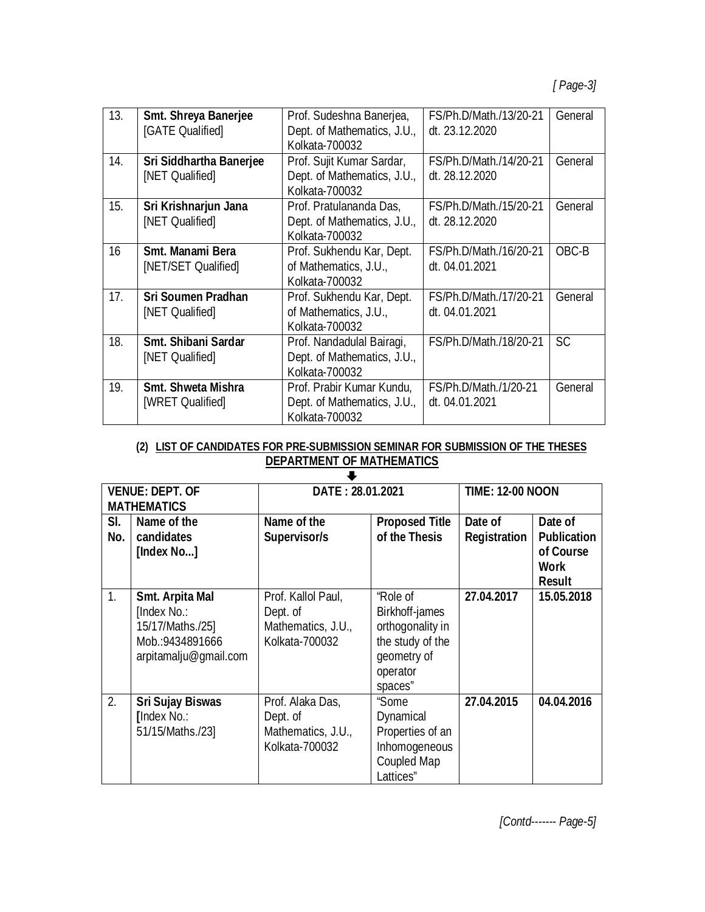| 13.             | <b>Smt. Shreya Banerjee</b>    | Prof. Sudeshna Banerjea,    | FS/Ph.D/Math./13/20-21 | General   |
|-----------------|--------------------------------|-----------------------------|------------------------|-----------|
|                 | [GATE Qualified]               | Dept. of Mathematics, J.U., | dt. 23.12.2020         |           |
|                 |                                | Kolkata-700032              |                        |           |
| 14.             | <b>Sri Siddhartha Banerjee</b> | Prof. Sujit Kumar Sardar,   | FS/Ph.D/Math./14/20-21 | General   |
|                 | [NET Qualified]                | Dept. of Mathematics, J.U., | dt. 28.12.2020         |           |
|                 |                                | Kolkata-700032              |                        |           |
| 15.             | Sri Krishnarjun Jana           | Prof. Pratulananda Das,     | FS/Ph.D/Math./15/20-21 | General   |
|                 | [NET Qualified]                | Dept. of Mathematics, J.U., | dt. 28.12.2020         |           |
|                 |                                | Kolkata-700032              |                        |           |
| 16              | Smt. Manami Bera               | Prof. Sukhendu Kar, Dept.   | FS/Ph.D/Math./16/20-21 | OBC-B     |
|                 | [NET/SET Qualified]            | of Mathematics, J.U.,       | dt. 04.01.2021         |           |
|                 |                                | Kolkata-700032              |                        |           |
| 17 <sub>1</sub> | <b>Sri Soumen Pradhan</b>      | Prof. Sukhendu Kar, Dept.   | FS/Ph.D/Math./17/20-21 | General   |
|                 | [NET Qualified]                | of Mathematics, J.U.,       | dt. 04.01.2021         |           |
|                 |                                | Kolkata-700032              |                        |           |
| 18.             | Smt. Shibani Sardar            | Prof. Nandadulal Bairagi,   | FS/Ph.D/Math./18/20-21 | <b>SC</b> |
|                 | [NET Qualified]                | Dept. of Mathematics, J.U., |                        |           |
|                 |                                | Kolkata-700032              |                        |           |
| 19.             | <b>Smt. Shweta Mishra</b>      | Prof. Prabir Kumar Kundu,   | FS/Ph.D/Math./1/20-21  | General   |
|                 | [WRET Qualified]               | Dept. of Mathematics, J.U., | dt. 04.01.2021         |           |
|                 |                                | Kolkata-700032              |                        |           |

#### **(2) LIST OF CANDIDATES FOR PRE-SUBMISSION SEMINAR FOR SUBMISSION OF THE THESES DEPARTMENT OF MATHEMATICS**

| <b>VENUE: DEPT. OF</b><br><b>MATHEMATICS</b> |                                                                                                | DATE: 28.01.2021                                                       |                                                                                                          | <b>TIME: 12-00 NOON</b> |                                                                     |  |  |  |  |
|----------------------------------------------|------------------------------------------------------------------------------------------------|------------------------------------------------------------------------|----------------------------------------------------------------------------------------------------------|-------------------------|---------------------------------------------------------------------|--|--|--|--|
| SI.<br>No.                                   | Name of the<br>candidates<br>[Index No]                                                        | Name of the<br>Supervisor/s                                            | <b>Proposed Title</b><br>of the Thesis                                                                   | Date of<br>Registration | Date of<br><b>Publication</b><br>of Course<br>Work<br><b>Result</b> |  |  |  |  |
| $\mathbf{1}$ .                               | Smt. Arpita Mal<br>[Index No.:<br>15/17/Maths./25]<br>Mob.:9434891666<br>arpitamalju@gmail.com | Prof. Kallol Paul,<br>Dept. of<br>Mathematics, J.U.,<br>Kolkata-700032 | "Role of<br>Birkhoff-james<br>orthogonality in<br>the study of the<br>geometry of<br>operator<br>spaces" | 27.04.2017              | 15.05.2018                                                          |  |  |  |  |
| 2.                                           | <b>Sri Sujay Biswas</b><br><b>[Index No.:</b><br>51/15/Maths./23]                              | Prof. Alaka Das,<br>Dept. of<br>Mathematics, J.U.,<br>Kolkata-700032   | "Some<br>Dynamical<br>Properties of an<br>Inhomogeneous<br><b>Coupled Map</b><br>Lattices"               | 27.04.2015              | 04.04.2016                                                          |  |  |  |  |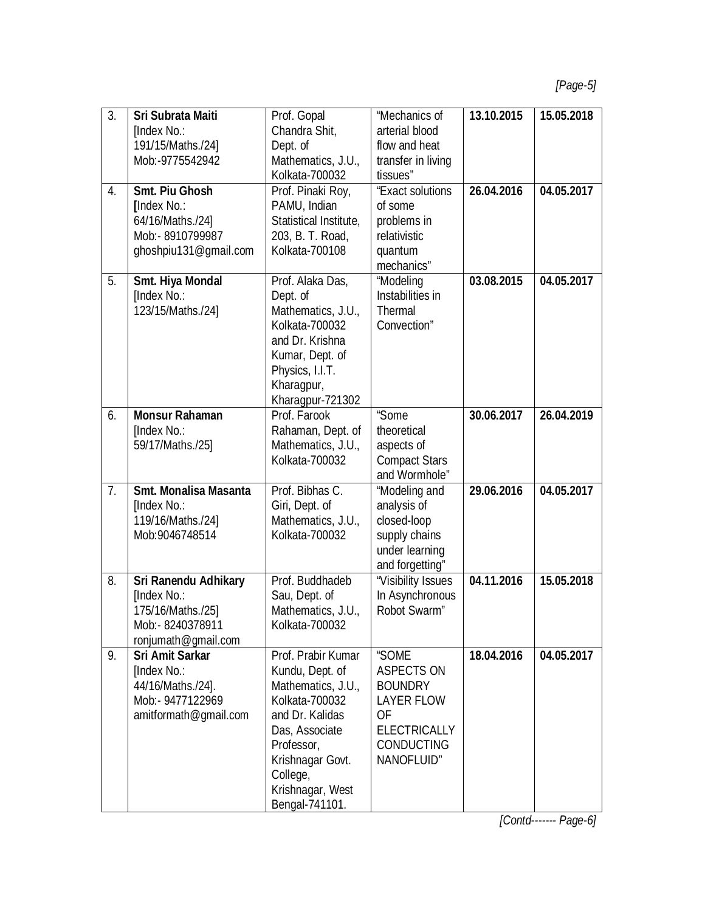| 3.               | Sri Subrata Maiti            | Prof. Gopal            | "Mechanics of        | 13.10.2015 | 15.05.2018 |
|------------------|------------------------------|------------------------|----------------------|------------|------------|
|                  | [Index No.:                  | Chandra Shit,          | arterial blood       |            |            |
|                  | 191/15/Maths./24]            | Dept. of               | flow and heat        |            |            |
|                  | Mob:-9775542942              | Mathematics, J.U.,     | transfer in living   |            |            |
|                  |                              | Kolkata-700032         | tissues"             |            |            |
| $\overline{4}$ . | <b>Smt. Piu Ghosh</b>        | Prof. Pinaki Roy,      | "Exact solutions     | 26.04.2016 | 04.05.2017 |
|                  | [Index No.:                  | PAMU, Indian           | of some              |            |            |
|                  | 64/16/Maths./24]             | Statistical Institute, | problems in          |            |            |
|                  | Mob:- 8910799987             | 203, B. T. Road,       | relativistic         |            |            |
|                  | ghoshpiu131@gmail.com        | Kolkata-700108         | quantum              |            |            |
|                  |                              |                        | mechanics"           |            |            |
| 5.               | <b>Smt. Hiya Mondal</b>      | Prof. Alaka Das,       | "Modeling            | 03.08.2015 | 04.05.2017 |
|                  | [Index No.:                  |                        | Instabilities in     |            |            |
|                  |                              | Dept. of               |                      |            |            |
|                  | 123/15/Maths./24]            | Mathematics, J.U.,     | Thermal              |            |            |
|                  |                              | Kolkata-700032         | Convection"          |            |            |
|                  |                              | and Dr. Krishna        |                      |            |            |
|                  |                              | Kumar, Dept. of        |                      |            |            |
|                  |                              | Physics, I.I.T.        |                      |            |            |
|                  |                              | Kharagpur,             |                      |            |            |
|                  |                              | Kharagpur-721302       |                      |            |            |
| 6.               | <b>Monsur Rahaman</b>        | Prof. Farook           | "Some                | 30.06.2017 | 26.04.2019 |
|                  | [Index No.:                  | Rahaman, Dept. of      | theoretical          |            |            |
|                  | 59/17/Maths./25]             | Mathematics, J.U.,     | aspects of           |            |            |
|                  |                              | Kolkata-700032         | <b>Compact Stars</b> |            |            |
|                  |                              |                        | and Wormhole"        |            |            |
| 7 <sub>1</sub>   | <b>Smt. Monalisa Masanta</b> | Prof. Bibhas C.        | "Modeling and        | 29.06.2016 | 04.05.2017 |
|                  | [Index No.:                  | Giri, Dept. of         | analysis of          |            |            |
|                  | 119/16/Maths./24]            | Mathematics, J.U.,     | closed-loop          |            |            |
|                  | Mob: 9046748514              | Kolkata-700032         | supply chains        |            |            |
|                  |                              |                        | under learning       |            |            |
|                  |                              |                        | and forgetting"      |            |            |
| 8.               | <b>Sri Ranendu Adhikary</b>  | Prof. Buddhadeb        | "Visibility Issues   | 04.11.2016 | 15.05.2018 |
|                  | [Index No.:                  | Sau, Dept. of          | In Asynchronous      |            |            |
|                  | 175/16/Maths./25]            | Mathematics, J.U.,     | Robot Swarm"         |            |            |
|                  | Mob:- 8240378911             | Kolkata-700032         |                      |            |            |
|                  | ronjumath@gmail.com          |                        |                      |            |            |
| 9.               | <b>Sri Amit Sarkar</b>       | Prof. Prabir Kumar     | "SOME                | 18.04.2016 | 04.05.2017 |
|                  | [Index No.:                  | Kundu, Dept. of        | <b>ASPECTS ON</b>    |            |            |
|                  | 44/16/Maths./24].            | Mathematics, J.U.,     | <b>BOUNDRY</b>       |            |            |
|                  | Mob:- 9477122969             | Kolkata-700032         | <b>LAYER FLOW</b>    |            |            |
|                  | amitformath@qmail.com        | and Dr. Kalidas        | 0F                   |            |            |
|                  |                              | Das, Associate         | <b>ELECTRICALLY</b>  |            |            |
|                  |                              | Professor,             | <b>CONDUCTING</b>    |            |            |
|                  |                              | Krishnagar Govt.       | NANOFLUID"           |            |            |
|                  |                              | College,               |                      |            |            |
|                  |                              | Krishnagar, West       |                      |            |            |
|                  |                              |                        |                      |            |            |
|                  |                              | Bengal-741101.         |                      |            |            |

*[Contd------- Page-6]*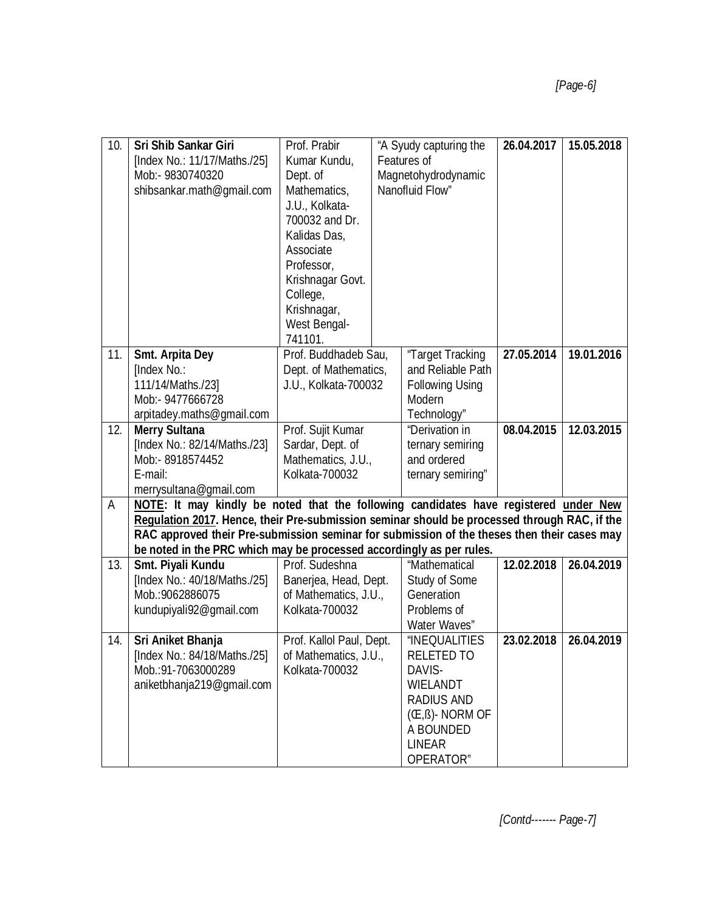| 10. | <b>Sri Shib Sankar Giri</b>                                                                  | Prof. Prabir                                  | "A Syudy capturing the |                         | 26.04.2017 | 15.05.2018 |
|-----|----------------------------------------------------------------------------------------------|-----------------------------------------------|------------------------|-------------------------|------------|------------|
|     | [Index No.: 11/17/Maths./25]                                                                 | Kumar Kundu,                                  | Features of            |                         |            |            |
|     | Mob:- 9830740320                                                                             | Dept. of                                      | Magnetohydrodynamic    |                         |            |            |
|     | shibsankar.math@gmail.com                                                                    | Mathematics,                                  | Nanofluid Flow"        |                         |            |            |
|     |                                                                                              | J.U., Kolkata-                                |                        |                         |            |            |
|     |                                                                                              | 700032 and Dr.                                |                        |                         |            |            |
|     |                                                                                              | Kalidas Das,                                  |                        |                         |            |            |
|     |                                                                                              | Associate                                     |                        |                         |            |            |
|     |                                                                                              | Professor,                                    |                        |                         |            |            |
|     |                                                                                              | Krishnagar Govt.                              |                        |                         |            |            |
|     |                                                                                              | College,                                      |                        |                         |            |            |
|     |                                                                                              | Krishnagar,                                   |                        |                         |            |            |
|     |                                                                                              | West Bengal-                                  |                        |                         |            |            |
|     |                                                                                              | 741101.                                       |                        |                         |            |            |
| 11. | <b>Smt. Arpita Dey</b>                                                                       | Prof. Buddhadeb Sau,                          |                        | "Target Tracking        | 27.05.2014 | 19.01.2016 |
|     | [Index No.:                                                                                  |                                               |                        | and Reliable Path       |            |            |
|     | 111/14/Maths./231                                                                            | Dept. of Mathematics,<br>J.U., Kolkata-700032 |                        | <b>Following Using</b>  |            |            |
|     |                                                                                              |                                               |                        | Modern                  |            |            |
|     | Mob:- 9477666728                                                                             |                                               |                        |                         |            |            |
|     | arpitadey.maths@gmail.com                                                                    |                                               |                        | Technology"             |            |            |
| 12. | <b>Merry Sultana</b>                                                                         | Prof. Sujit Kumar                             |                        | "Derivation in          | 08.04.2015 | 12.03.2015 |
|     | [Index No.: 82/14/Maths./23]                                                                 | Sardar, Dept. of                              |                        | ternary semiring        |            |            |
|     | Mob:- 8918574452                                                                             | Mathematics, J.U.,                            |                        | and ordered             |            |            |
|     | E-mail:                                                                                      | Kolkata-700032                                |                        | ternary semiring"       |            |            |
|     | merrysultana@gmail.com                                                                       |                                               |                        |                         |            |            |
| A   | NOTE: It may kindly be noted that the following candidates have registered under New         |                                               |                        |                         |            |            |
|     | Regulation 2017. Hence, their Pre-submission seminar should be processed through RAC, if the |                                               |                        |                         |            |            |
|     | RAC approved their Pre-submission seminar for submission of the theses then their cases may  |                                               |                        |                         |            |            |
|     | be noted in the PRC which may be processed accordingly as per rules.                         |                                               |                        |                         |            |            |
| 13. | Smt. Piyali Kundu                                                                            | Prof. Sudeshna                                |                        | "Mathematical           | 12.02.2018 | 26.04.2019 |
|     | [Index No.: 40/18/Maths./25]                                                                 | Banerjea, Head, Dept.                         |                        | Study of Some           |            |            |
|     | Mob.: 9062886075                                                                             | of Mathematics, J.U.,                         |                        | Generation              |            |            |
|     | kundupiyali92@gmail.com                                                                      | Kolkata-700032                                |                        | Problems of             |            |            |
|     |                                                                                              |                                               |                        | Water Waves"            |            |            |
| 14. | Sri Aniket Bhanja                                                                            | Prof. Kallol Paul, Dept.                      |                        | <b>"INEQUALITIES</b>    | 23.02.2018 | 26.04.2019 |
|     | [Index No.: 84/18/Maths./25]                                                                 | of Mathematics, J.U.,                         |                        | <b>RELETED TO</b>       |            |            |
|     | Mob.: 91-7063000289                                                                          | Kolkata-700032                                |                        | DAVIS-                  |            |            |
|     | aniketbhanja219@gmail.com                                                                    |                                               |                        | <b>WIELANDT</b>         |            |            |
|     |                                                                                              |                                               |                        | <b>RADIUS AND</b>       |            |            |
|     |                                                                                              |                                               |                        | $((E, \beta)$ - NORM OF |            |            |
|     |                                                                                              |                                               |                        | A BOUNDED               |            |            |
|     |                                                                                              |                                               |                        | <b>LINEAR</b>           |            |            |
|     |                                                                                              |                                               |                        | OPERATOR"               |            |            |